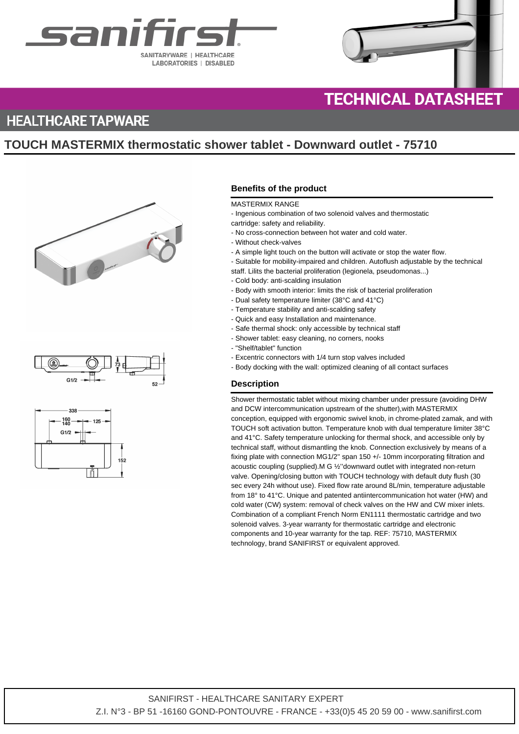



# **HEALTHCARE TAPWARE**

# **TOUCH MASTERMIX thermostatic shower tablet - Downward outlet - 75710**







## **Benefits of the product**

#### MASTERMIX RANGE

- Ingenious combination of two solenoid valves and thermostatic
- cartridge: safety and reliability.
- No cross-connection between hot water and cold water.
- Without check-valves
- A simple light touch on the button will activate or stop the water flow.
- Suitable for mobility-impaired and children. Autoflush adjustable by the technical
- staff. Lilits the bacterial proliferation (legionela, pseudomonas...)
- Cold body: anti-scalding insulation
- Body with smooth interior: limits the risk of bacterial proliferation
- Dual safety temperature limiter (38°C and 41°C)
- Temperature stability and anti-scalding safety
- Quick and easy Installation and maintenance.
- Safe thermal shock: only accessible by technical staff
- Shower tablet: easy cleaning, no corners, nooks
- "Shelf/tablet" function
- Excentric connectors with 1/4 turn stop valves included
- Body docking with the wall: optimized cleaning of all contact surfaces

### **Description**

Shower thermostatic tablet without mixing chamber under pressure (avoiding DHW and DCW intercommunication upstream of the shutter),with MASTERMIX conception, equipped with ergonomic swivel knob, in chrome-plated zamak, and with TOUCH soft activation button. Temperature knob with dual temperature limiter 38°C and 41°C. Safety temperature unlocking for thermal shock, and accessible only by technical staff, without dismantling the knob. Connection exclusively by means of a fixing plate with connection MG1/2'' span 150 +/- 10mm incorporating filtration and acoustic coupling (supplied).M G ½''downward outlet with integrated non-return valve. Opening/closing button with TOUCH technology with default duty flush (30 sec every 24h without use). Fixed flow rate around 8L/min, temperature adjustable from 18° to 41°C. Unique and patented antiintercommunication hot water (HW) and cold water (CW) system: removal of check valves on the HW and CW mixer inlets. Combination of a compliant French Norm EN1111 thermostatic cartridge and two solenoid valves. 3-year warranty for thermostatic cartridge and electronic components and 10-year warranty for the tap. REF: 75710, MASTERMIX technology, brand SANIFIRST or equivalent approved.